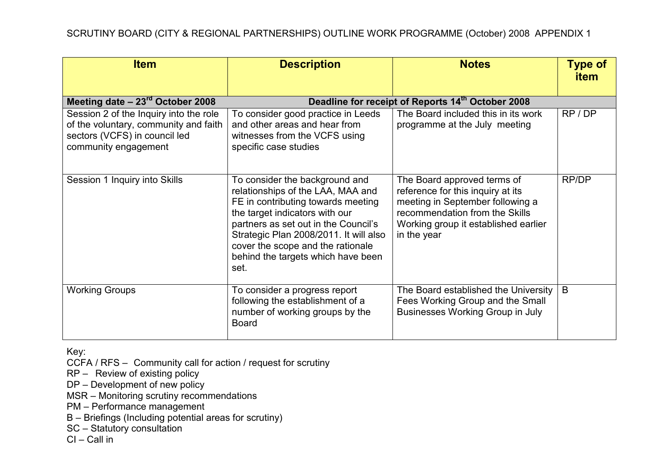| <b>Item</b>                                                                                                                              | <b>Description</b>                                                                                                                                                                                                                                                                                               | <b>Notes</b>                                                                                                                                                                                  | <b>Type of</b><br><b>item</b> |
|------------------------------------------------------------------------------------------------------------------------------------------|------------------------------------------------------------------------------------------------------------------------------------------------------------------------------------------------------------------------------------------------------------------------------------------------------------------|-----------------------------------------------------------------------------------------------------------------------------------------------------------------------------------------------|-------------------------------|
| Meeting date $-23^{\text{rd}}$ October 2008                                                                                              |                                                                                                                                                                                                                                                                                                                  | Deadline for receipt of Reports 14th October 2008                                                                                                                                             |                               |
| Session 2 of the Inquiry into the role<br>of the voluntary, community and faith<br>sectors (VCFS) in council led<br>community engagement | To consider good practice in Leeds<br>and other areas and hear from<br>witnesses from the VCFS using<br>specific case studies                                                                                                                                                                                    | The Board included this in its work<br>programme at the July meeting                                                                                                                          | RP/DP                         |
| Session 1 Inquiry into Skills                                                                                                            | To consider the background and<br>relationships of the LAA, MAA and<br>FE in contributing towards meeting<br>the target indicators with our<br>partners as set out in the Council's<br>Strategic Plan 2008/2011. It will also<br>cover the scope and the rationale<br>behind the targets which have been<br>set. | The Board approved terms of<br>reference for this inquiry at its<br>meeting in September following a<br>recommendation from the Skills<br>Working group it established earlier<br>in the year | RP/DP                         |
| <b>Working Groups</b>                                                                                                                    | To consider a progress report<br>following the establishment of a<br>number of working groups by the<br><b>Board</b>                                                                                                                                                                                             | The Board established the University<br>Fees Working Group and the Small<br><b>Businesses Working Group in July</b>                                                                           | B                             |

CCFA / RFS – Community call for action / request for scrutiny

RP – Review of existing policy

DP – Development of new policy

MSR – Monitoring scrutiny recommendations

PM – Performance management

B – Briefings (Including potential areas for scrutiny)

SC – Statutory consultation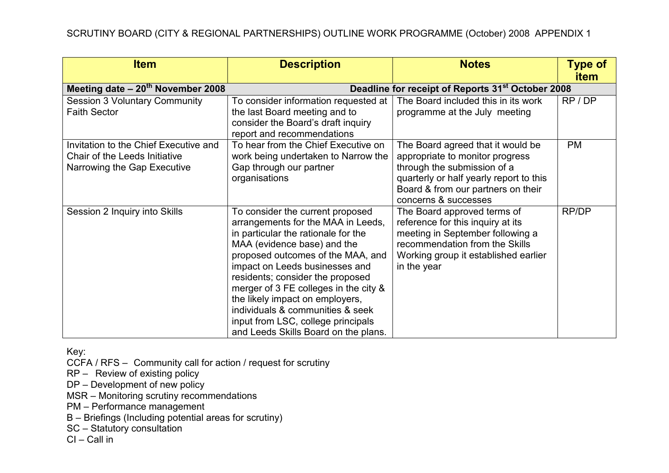| <b>Item</b>                           | <b>Description</b>                                                        | <b>Notes</b>                                                          | <b>Type of</b> |
|---------------------------------------|---------------------------------------------------------------------------|-----------------------------------------------------------------------|----------------|
|                                       |                                                                           |                                                                       | <b>item</b>    |
| Meeting date $-20^{th}$ November 2008 |                                                                           | Deadline for receipt of Reports 31 <sup>st</sup> October 2008         |                |
| <b>Session 3 Voluntary Community</b>  | To consider information requested at                                      | The Board included this in its work                                   | RP/DP          |
| <b>Faith Sector</b>                   | the last Board meeting and to                                             | programme at the July meeting                                         |                |
|                                       | consider the Board's draft inquiry                                        |                                                                       |                |
|                                       | report and recommendations                                                |                                                                       |                |
| Invitation to the Chief Executive and | To hear from the Chief Executive on                                       | The Board agreed that it would be                                     | <b>PM</b>      |
| Chair of the Leeds Initiative         | work being undertaken to Narrow the                                       | appropriate to monitor progress                                       |                |
| Narrowing the Gap Executive           | Gap through our partner                                                   | through the submission of a                                           |                |
|                                       | organisations                                                             | quarterly or half yearly report to this                               |                |
|                                       |                                                                           | Board & from our partners on their<br>concerns & successes            |                |
|                                       |                                                                           |                                                                       |                |
| Session 2 Inquiry into Skills         | To consider the current proposed                                          | The Board approved terms of                                           | RP/DP          |
|                                       | arrangements for the MAA in Leeds,<br>in particular the rationale for the | reference for this inquiry at its<br>meeting in September following a |                |
|                                       | MAA (evidence base) and the                                               | recommendation from the Skills                                        |                |
|                                       | proposed outcomes of the MAA, and                                         | Working group it established earlier                                  |                |
|                                       | impact on Leeds businesses and                                            | in the year                                                           |                |
|                                       | residents; consider the proposed                                          |                                                                       |                |
|                                       | merger of 3 FE colleges in the city &                                     |                                                                       |                |
|                                       | the likely impact on employers,                                           |                                                                       |                |
|                                       | individuals & communities & seek                                          |                                                                       |                |
|                                       | input from LSC, college principals                                        |                                                                       |                |
|                                       | and Leeds Skills Board on the plans.                                      |                                                                       |                |

CCFA / RFS – Community call for action / request for scrutiny

RP – Review of existing policy

DP – Development of new policy

MSR – Monitoring scrutiny recommendations

PM – Performance management

B – Briefings (Including potential areas for scrutiny)

SC – Statutory consultation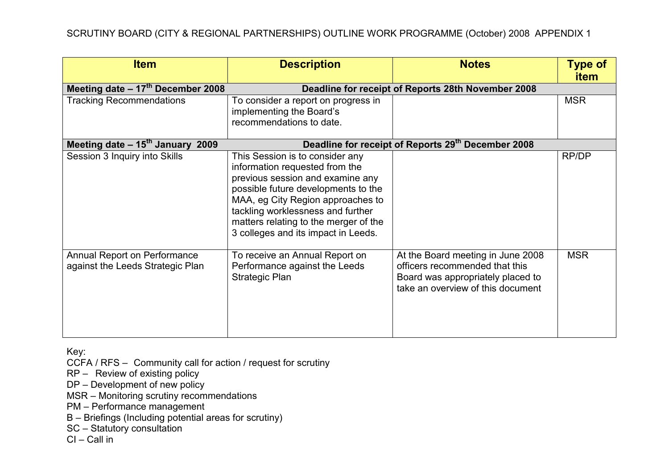| <b>Item</b>                                                             | <b>Description</b>                                                                                                                                                                                                                                                                                     | <b>Notes</b>                                                                                                                                  | <b>Type of</b><br>item |
|-------------------------------------------------------------------------|--------------------------------------------------------------------------------------------------------------------------------------------------------------------------------------------------------------------------------------------------------------------------------------------------------|-----------------------------------------------------------------------------------------------------------------------------------------------|------------------------|
| Meeting date $-17th$ December 2008                                      |                                                                                                                                                                                                                                                                                                        | Deadline for receipt of Reports 28th November 2008                                                                                            |                        |
| <b>Tracking Recommendations</b>                                         | To consider a report on progress in<br>implementing the Board's<br>recommendations to date.                                                                                                                                                                                                            |                                                                                                                                               | <b>MSR</b>             |
| Meeting date $-15$ <sup>th</sup> January 2009                           |                                                                                                                                                                                                                                                                                                        | Deadline for receipt of Reports 29th December 2008                                                                                            |                        |
| Session 3 Inquiry into Skills                                           | This Session is to consider any<br>information requested from the<br>previous session and examine any<br>possible future developments to the<br>MAA, eg City Region approaches to<br>tackling worklessness and further<br>matters relating to the merger of the<br>3 colleges and its impact in Leeds. |                                                                                                                                               | RP/DP                  |
| <b>Annual Report on Performance</b><br>against the Leeds Strategic Plan | To receive an Annual Report on<br>Performance against the Leeds<br><b>Strategic Plan</b>                                                                                                                                                                                                               | At the Board meeting in June 2008<br>officers recommended that this<br>Board was appropriately placed to<br>take an overview of this document | <b>MSR</b>             |

CCFA / RFS – Community call for action / request for scrutiny

RP – Review of existing policy

DP – Development of new policy

MSR – Monitoring scrutiny recommendations

PM – Performance management

B – Briefings (Including potential areas for scrutiny)

SC – Statutory consultation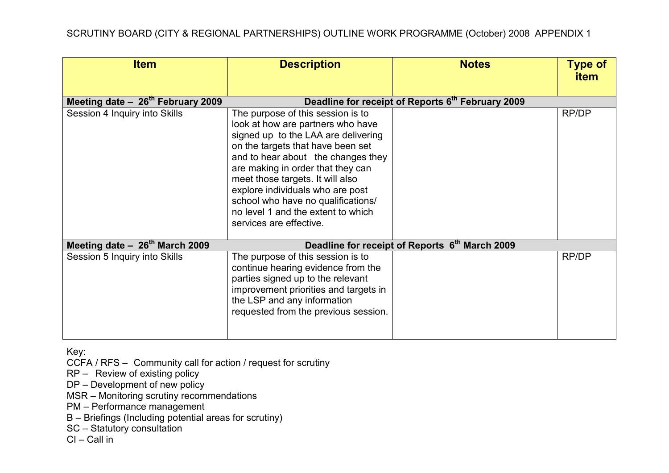| <b>Item</b>                                | <b>Description</b>                                                                                                                                                                                                                                                                                                                                                                                           | <b>Notes</b>                                      | <b>Type of</b><br><b>item</b> |
|--------------------------------------------|--------------------------------------------------------------------------------------------------------------------------------------------------------------------------------------------------------------------------------------------------------------------------------------------------------------------------------------------------------------------------------------------------------------|---------------------------------------------------|-------------------------------|
| Meeting date $-26th$ February 2009         |                                                                                                                                                                                                                                                                                                                                                                                                              | Deadline for receipt of Reports 6th February 2009 |                               |
| Session 4 Inquiry into Skills              | The purpose of this session is to<br>look at how are partners who have<br>signed up to the LAA are delivering<br>on the targets that have been set<br>and to hear about the changes they<br>are making in order that they can<br>meet those targets. It will also<br>explore individuals who are post<br>school who have no qualifications/<br>no level 1 and the extent to which<br>services are effective. |                                                   | RP/DP                         |
| Meeting date - 26 <sup>th</sup> March 2009 |                                                                                                                                                                                                                                                                                                                                                                                                              | Deadline for receipt of Reports 6th March 2009    |                               |
| Session 5 Inquiry into Skills              | The purpose of this session is to<br>continue hearing evidence from the<br>parties signed up to the relevant<br>improvement priorities and targets in<br>the LSP and any information<br>requested from the previous session.                                                                                                                                                                                 |                                                   | RP/DP                         |

CCFA / RFS – Community call for action / request for scrutiny

RP – Review of existing policy

DP – Development of new policy

MSR – Monitoring scrutiny recommendations

PM – Performance management

B – Briefings (Including potential areas for scrutiny)

SC – Statutory consultation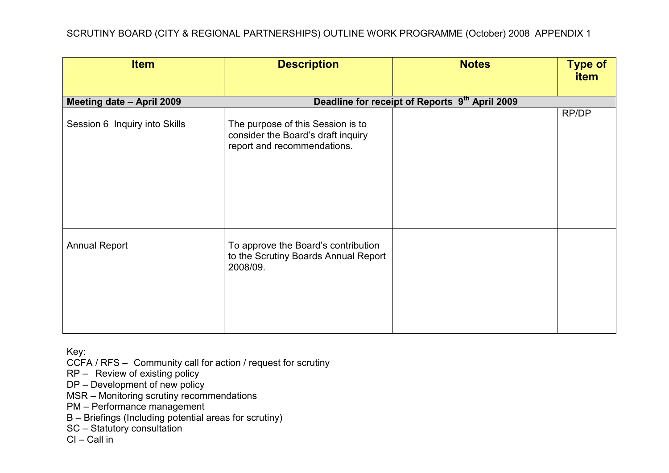| <b>Item</b>                   | <b>Description</b>                                                                                     | <b>Notes</b>                                   | <b>Type of</b><br>item |
|-------------------------------|--------------------------------------------------------------------------------------------------------|------------------------------------------------|------------------------|
| Meeting date - April 2009     |                                                                                                        | Deadline for receipt of Reports 9th April 2009 |                        |
| Session 6 Inquiry into Skills | The purpose of this Session is to<br>consider the Board's draft inquiry<br>report and recommendations. |                                                | RP/DP                  |
| <b>Annual Report</b>          | To approve the Board's contribution<br>to the Scrutiny Boards Annual Report<br>2008/09.                |                                                |                        |

CCFA / RFS – Community call for action / request for scrutiny

RP – Review of existing policy

DP – Development of new policy

MSR – Monitoring scrutiny recommendations

PM – Performance management

B – Briefings (Including potential areas for scrutiny)

SC – Statutory consultation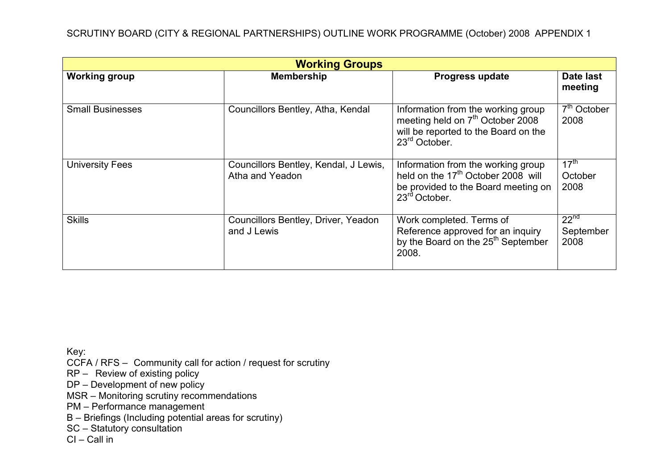| <b>Working Groups</b>   |                                                          |                                                                                                                                                          |                                       |
|-------------------------|----------------------------------------------------------|----------------------------------------------------------------------------------------------------------------------------------------------------------|---------------------------------------|
| <b>Working group</b>    | <b>Membership</b>                                        | <b>Progress update</b>                                                                                                                                   | Date last<br>meeting                  |
| <b>Small Businesses</b> | Councillors Bentley, Atha, Kendal                        | Information from the working group<br>meeting held on 7 <sup>th</sup> October 2008<br>will be reported to the Board on the<br>$23rd$ October.            | $7th$ October<br>2008                 |
| <b>University Fees</b>  | Councillors Bentley, Kendal, J Lewis,<br>Atha and Yeadon | Information from the working group<br>held on the 17 <sup>th</sup> October 2008 will<br>be provided to the Board meeting on<br>23 <sup>rd</sup> October. | $17^{\text{th}}$<br>October<br>2008   |
| <b>Skills</b>           | Councillors Bentley, Driver, Yeadon<br>and J Lewis       | Work completed. Terms of<br>Reference approved for an inquiry<br>by the Board on the 25 <sup>th</sup> September<br>2008.                                 | 22 <sup>nd</sup><br>September<br>2008 |

CCFA / RFS – Community call for action / request for scrutiny

RP – Review of existing policy

DP – Development of new policy

MSR – Monitoring scrutiny recommendations

PM – Performance management

B – Briefings (Including potential areas for scrutiny)

SC – Statutory consultation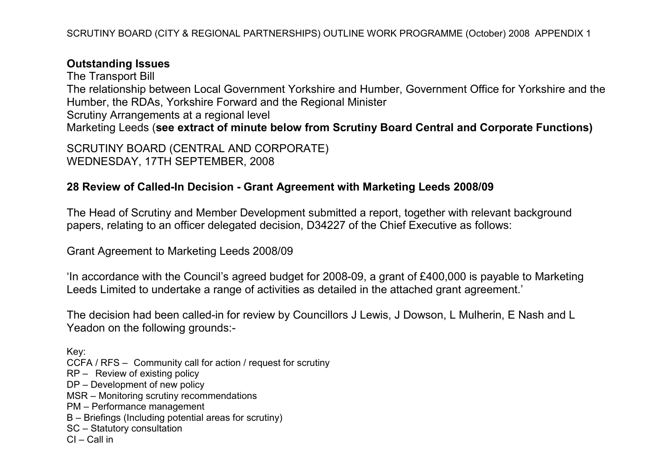## Outstanding Issues

The Transport Bill The relationship between Local Government Yorkshire and Humber, Government Office for Yorkshire and the Humber, the RDAs, Yorkshire Forward and the Regional Minister Scrutiny Arrangements at a regional level Marketing Leeds (see extract of minute below from Scrutiny Board Central and Corporate Functions)

SCRUTINY BOARD (CENTRAL AND CORPORATE) WEDNESDAY, 17TH SEPTEMBER, 2008

## 28 Review of Called-In Decision - Grant Agreement with Marketing Leeds 2008/09

The Head of Scrutiny and Member Development submitted a report, together with relevant background papers, relating to an officer delegated decision, D34227 of the Chief Executive as follows:

Grant Agreement to Marketing Leeds 2008/09

'In accordance with the Council's agreed budget for 2008-09, a grant of £400,000 is payable to Marketing Leeds Limited to undertake a range of activities as detailed in the attached grant agreement.'

The decision had been called-in for review by Councillors J Lewis, J Dowson, L Mulherin, E Nash and L Yeadon on the following grounds:-

Key: CCFA / RFS – Community call for action / request for scrutiny RP – Review of existing policy DP – Development of new policy MSR – Monitoring scrutiny recommendations PM – Performance management B – Briefings (Including potential areas for scrutiny)

SC – Statutory consultation

 $Cl - Call$  in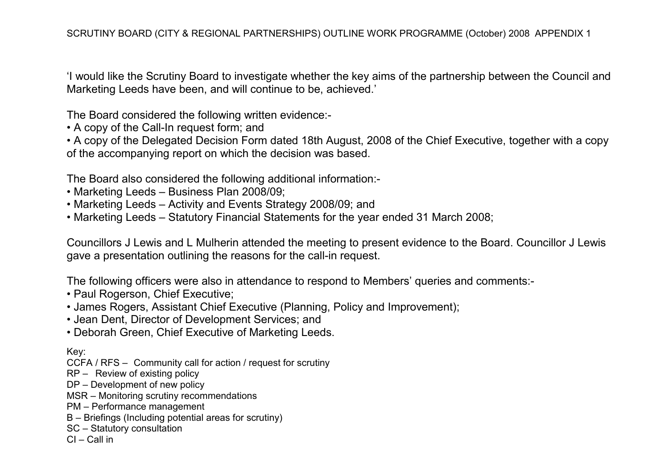'I would like the Scrutiny Board to investigate whether the key aims of the partnership between the Council and Marketing Leeds have been, and will continue to be, achieved.'

The Board considered the following written evidence:-

• A copy of the Call-In request form; and

• A copy of the Delegated Decision Form dated 18th August, 2008 of the Chief Executive, together with a copy of the accompanying report on which the decision was based.

The Board also considered the following additional information:-

- Marketing Leeds Business Plan 2008/09;
- Marketing Leeds Activity and Events Strategy 2008/09; and
- Marketing Leeds Statutory Financial Statements for the year ended 31 March 2008;

Councillors J Lewis and L Mulherin attended the meeting to present evidence to the Board. Councillor J Lewis gave a presentation outlining the reasons for the call-in request.

The following officers were also in attendance to respond to Members' queries and comments:-

- Paul Rogerson, Chief Executive;
- James Rogers, Assistant Chief Executive (Planning, Policy and Improvement);
- Jean Dent, Director of Development Services; and
- Deborah Green, Chief Executive of Marketing Leeds.

Key:

- CCFA / RFS Community call for action / request for scrutiny
- RP Review of existing policy
- DP Development of new policy
- MSR Monitoring scrutiny recommendations
- PM Performance management
- B Briefings (Including potential areas for scrutiny)
- SC Statutory consultation
- CI Call in